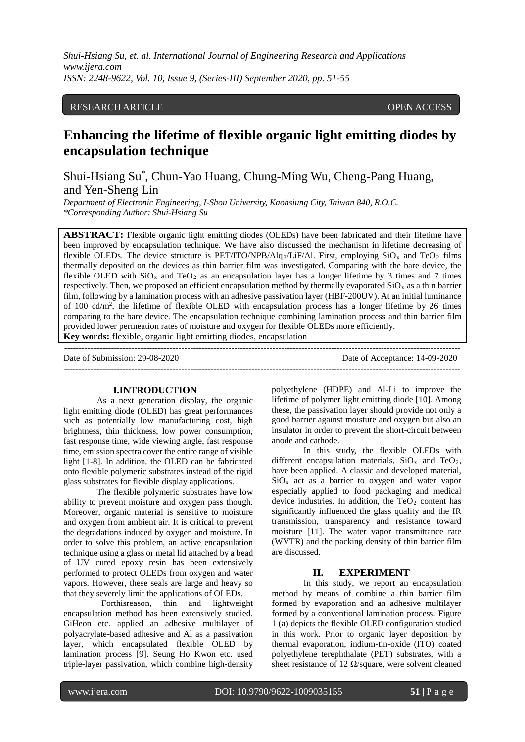*Shui-Hsiang Su, et. al. International Journal of Engineering Research and Applications www.ijera.com ISSN: 2248-9622, Vol. 10, Issue 9, (Series-III) September 2020, pp. 51-55*

## RESEARCH ARTICLE **OPEN ACCESS**

# **Enhancing the lifetime of flexible organic light emitting diodes by encapsulation technique**

Shui-Hsiang Su\* , Chun-Yao Huang, Chung-Ming Wu, Cheng-Pang Huang, and Yen-Sheng Lin

*Department of Electronic Engineering, I-Shou University, Kaohsiung City, Taiwan 840, R.O.C. \*Corresponding Author: Shui-Hsiang Su*

**ABSTRACT:** Flexible organic light emitting diodes (OLEDs) have been fabricated and their lifetime have been improved by encapsulation technique. We have also discussed the mechanism in lifetime decreasing of flexible OLEDs. The device structure is PET/ITO/NPB/Alq<sub>3</sub>/LiF/Al. First, employing  $SiO_x$  and TeO<sub>2</sub> films thermally deposited on the devices as thin barrier film was investigated. Comparing with the bare device, the flexible OLED with  $SiO_x$  and  $TeO_2$  as an encapsulation layer has a longer lifetime by 3 times and 7 times respectively. Then, we proposed an efficient encapsulation method by thermally evaporated  $SiO<sub>x</sub>$  as a thin barrier film, following by a lamination process with an adhesive passivation layer (HBF-200UV). At an initial luminance of 100 cd/m2 , the lifetime of flexible OLED with encapsulation process has a longer lifetime by 26 times comparing to the bare device. The encapsulation technique combining lamination process and thin barrier film provided lower permeation rates of moisture and oxygen for flexible OLEDs more efficiently. **Key words:** flexible, organic light emitting diodes, encapsulation

--------------------------------------------------------------------------------------------------------------------------------------- Date of Submission: 29-08-2020 Date of Acceptance: 14-09-2020

# **I.INTRODUCTION**

As a next generation display, the organic light emitting diode (OLED) has great performances such as potentially low manufacturing cost, high brightness, thin thickness, low power consumption, fast response time, wide viewing angle, fast response time, emission spectra cover the entire range of visible light [1-8]. In addition, the OLED can be fabricated onto flexible polymeric substrates instead of the rigid glass substrates for flexible display applications.

The flexible polymeric substrates have low ability to prevent moisture and oxygen pass though. Moreover, organic material is sensitive to moisture and oxygen from ambient air. It is critical to prevent the degradations induced by oxygen and moisture. In order to solve this problem, an active encapsulation technique using a glass or metal lid attached by a bead of UV cured epoxy resin has been extensively performed to protect OLEDs from oxygen and water vapors. However, these seals are large and heavy so that they severely limit the applications of OLEDs.

[Forthisreason,](http://tw.dictionary.yahoo.com/search?ei=UTF-8&p=%E5%9B%A0%E6%AD%A4) thin and lightweight encapsulation method has been extensively studied. GiHeon etc. applied an adhesive multilayer of polyacrylate-based adhesive and Al as a passivation layer, which encapsulated flexible OLED by lamination process [9]. Seung Ho Kwon etc. used triple-layer passivation, which combine high-density

polyethylene (HDPE) and Al-Li to improve the lifetime of polymer light emitting diode [10]. Among these, the passivation layer should provide not only a good barrier against moisture and oxygen but also an insulator in order to prevent the short-circuit between anode and cathode.

In this study, the flexible OLEDs with different encapsulation materials,  $SiO_x$  and  $TeO_2$ , have been applied. A classic and developed material,  $SiO<sub>x</sub>$  act as a barrier to oxygen and water vapor especially applied to food packaging and medical device industries. In addition, the  $TeO<sub>2</sub>$  content has significantly influenced the glass quality and the IR transmission, transparency and resistance toward moisture [11]. The water vapor transmittance rate (WVTR) and the packing density of thin barrier film are discussed.

#### **II. EXPERIMENT**

In this study, we report an encapsulation method by means of combine a thin barrier film formed by evaporation and an adhesive multilayer formed by a conventional lamination process. Figure 1 (a) depicts the flexible OLED configuration studied in this work. Prior to organic layer deposition by thermal evaporation, indium-tin-oxide (ITO) coated polyethylene terephthalate (PET) substrates, with a sheet resistance of 12  $\Omega$ /square, were solvent cleaned

I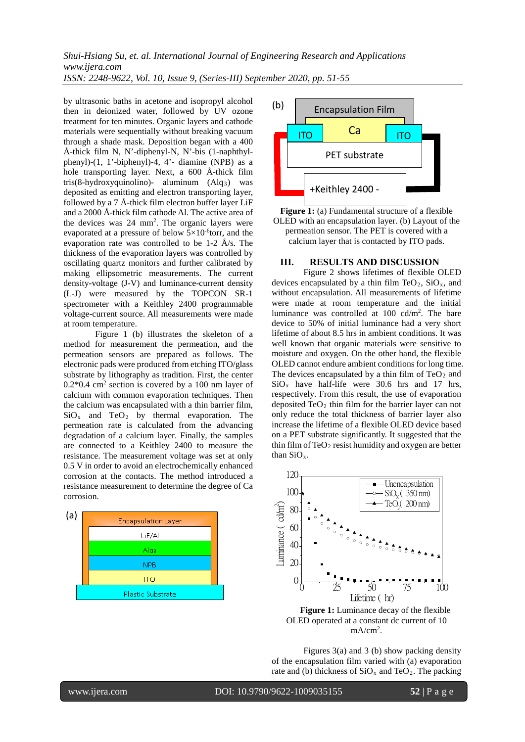*Shui-Hsiang Su, et. al. International Journal of Engineering Research and Applications www.ijera.com ISSN: 2248-9622, Vol. 10, Issue 9, (Series-III) September 2020, pp. 51-55*

by ultrasonic baths in acetone and isopropyl alcohol then in deionized water, followed by UV ozone treatment for ten minutes. Organic layers and cathode materials were sequentially without breaking vacuum through a shade mask. Deposition began with a 400 Å-thick film N, N'-diphenyl-N, N'-bis (1-naphthylphenyl)-(1, 1'-biphenyl)-4, 4'- diamine (NPB) as a hole transporting layer. Next, a 600 Å-thick film tris(8-hydroxyquinolino)- aluminum  $(Alg_3)$  was deposited as emitting and electron transporting layer, followed by a 7 Å-thick film electron buffer layer LiF and a 2000 Å-thick film cathode Al. The active area of the devices was 24 mm<sup>2</sup>. The organic layers were evaporated at a pressure of below  $5 \times 10^{-6}$ torr, and the evaporation rate was controlled to be 1-2 Å/s. The thickness of the evaporation layers was controlled by oscillating quartz monitors and further calibrated by making ellipsometric measurements. The current density-voltage (J-V) and luminance-current density (L-J) were measured by the TOPCON SR-1 spectrometer with a Keithley 2400 programmable voltage-current source. All measurements were made at room temperature.

Figure 1 (b) illustrates the skeleton of a method for measurement the permeation, and the permeation sensors are prepared as follows. The electronic pads were produced from etching ITO/glass substrate by lithography as tradition. First, the center  $0.2*0.4$  cm<sup>2</sup> section is covered by a 100 nm layer of calcium with common evaporation techniques. Then the calcium was encapsulated with a thin barrier film,  $SiO<sub>x</sub>$  and  $TeO<sub>2</sub>$  by thermal evaporation. The permeation rate is calculated from the advancing degradation of a calcium layer. Finally, the samples are connected to a Keithley 2400 to measure the resistance. The measurement voltage was set at only 0.5 V in order to avoid an electrochemically enhanced corrosion at the contacts. The method introduced a resistance measurement to determine the degree of Ca corrosion.





**Figure 1:** (a) Fundamental structure of a flexible OLED with an encapsulation layer. (b) Layout of the permeation sensor. The PET is covered with a calcium layer that is contacted by ITO pads.

#### **III. RESULTS AND DISCUSSION**

Figure 2 shows lifetimes of flexible OLED devices encapsulated by a thin film  $TeO<sub>2</sub>$ ,  $SiO<sub>x</sub>$ , and without encapsulation. All measurements of lifetime were made at room temperature and the initial luminance was controlled at 100 cd/m2 . The bare device to 50% of initial luminance had a very short lifetime of about 8.5 hrs in ambient conditions. It was well known that organic materials were sensitive to moisture and oxygen. On the other hand, the flexible OLED cannot endure ambient conditions for long time. The devices encapsulated by a thin film of  $TeO<sub>2</sub>$  and  $SiO<sub>x</sub>$  have half-life were 30.6 hrs and 17 hrs, respectively. From this result, the use of evaporation deposited  $TeO<sub>2</sub>$  thin film for the barrier layer can not only reduce the total thickness of barrier layer also increase the lifetime of a flexible OLED device based on a PET substrate significantly. It suggested that the thin film of  $TeO<sub>2</sub>$  resist humidity and oxygen are better than SiOx.



**Figure 1:** Luminance decay of the flexible OLED operated at a constant dc current of 10 mA/cm<sup>2</sup>.

Figures 3(a) and 3 (b) show packing density of the encapsulation film varied with (a) evaporation rate and (b) thickness of  $SiO_x$  and  $TeO_2$ . The packing

I

www.ijera.com DOI: 10.9790/9622-1009035155 **52** | Page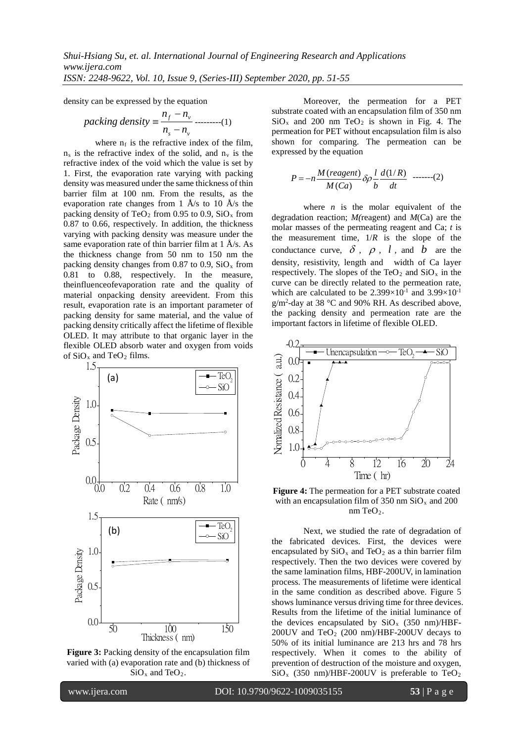density can be expressed by the equation

$$
packing density = \frac{n_f - n_v}{n_s - n_v}
$$
........(1)

where  $n_f$  is the refractive index of the film,  $n_s$  is the refractive index of the solid, and  $n_v$  is the refractive index of the void which the value is set by 1. First, the evaporation rate varying with packing density was measured under the same thickness of thin barrier film at 100 nm. From the results, as the evaporation rate changes from 1  $\rm \AA/s$  to 10  $\rm \AA/s$  the packing density of TeO<sub>2</sub> from 0.95 to 0.9, SiO<sub>x</sub> from 0.87 to 0.66, respectively. In addition, the thickness varying with packing density was measure under the same evaporation rate of thin barrier film at 1 Å/s. As the thickness change from 50 nm to 150 nm the packing density changes from 0.87 to 0.9,  $SiO_x$  from 0.81 to 0.88, respectively. In the measure, [theinfluenceofe](http://tw.dictionary.yahoo.com/search?ei=UTF-8&p=influence)vaporation rate and the quality of material [onpacking](http://tw.dictionary.yahoo.com/search?ei=UTF-8&p=influence) density [areevident.](http://tw.dictionary.yahoo.com/search?ei=UTF-8&p=influence) From this result, evaporation rate is an important parameter of packing density for same material, and the value of packing density critically affect the lifetime of flexible OLED. It may attribute to that organic layer in the flexible OLED absorb water and oxygen from voids of  $SiO<sub>x</sub>$  and TeO<sub>2</sub> films.



**Figure 3:** Packing density of the encapsulation film varied with (a) evaporation rate and (b) thickness of  $SiO<sub>x</sub>$  and TeO<sub>2</sub>.

Moreover, the permeation for a PET substrate coated with an encapsulation film of 350 nm  $SiO<sub>x</sub>$  and 200 nm TeO<sub>2</sub> is shown in Fig. 4. The permeation for PET without encapsulation film is also shown for comparing. The permeation can be expressed by the equation

$$
P = -n \frac{M\left(\text{reagent}\right)}{M\left(\text{Ca}\right)} \delta \rho \frac{l}{b} \frac{d\left(1/R\right)}{dt} \quad \text{----(2)}
$$

where  $n$  is the molar equivalent of the degradation reaction; *M(*reagent) and *M*(Ca) are the molar masses of the permeating reagent and Ca; *t* is the measurement time,  $1/R$  is the slope of the conductance curve,  $\delta$ ,  $\rho$ ,  $l$ , and  $b$  are the density, resistivity, length and width of Ca layer respectively. The slopes of the TeO<sub>2</sub> and  $SiO_x$  in the curve can be directly related to the permeation rate, which are calculated to be  $2.399\times10^{-1}$  and  $3.99\times10^{-1}$ g/m2 -day at 38 °C and 90% RH. As described above, the packing density and permeation rate are the important factors in lifetime of flexible OLED.



**Figure 4:** The permeation for a PET substrate coated with an encapsulation film of 350 nm  $SiO_x$  and 200  $nm TeO<sub>2</sub>$ .

Next, we studied the rate of degradation of the fabricated devices. First, the devices were encapsulated by  $SiO_x$  and TeO<sub>2</sub> as a thin barrier film respectively. Then the two devices were covered by the same lamination films, HBF-200UV, in lamination process. The measurements of lifetime were identical in the same condition as described above. Figure 5 shows luminance versus driving time for three devices. Results from the lifetime of the initial luminance of the devices encapsulated by  $SiO<sub>x</sub>$  (350 nm)/HBF-200UV and  $TeO<sub>2</sub>$  (200 nm)/HBF-200UV decays to 50% of its initial luminance are 213 hrs and 78 hrs respectively. When it comes to the ability of prevention of destruction of the moisture and oxygen,  $SiO<sub>x</sub>$  (350 nm)/HBF-200UV is preferable to TeO<sub>2</sub>

I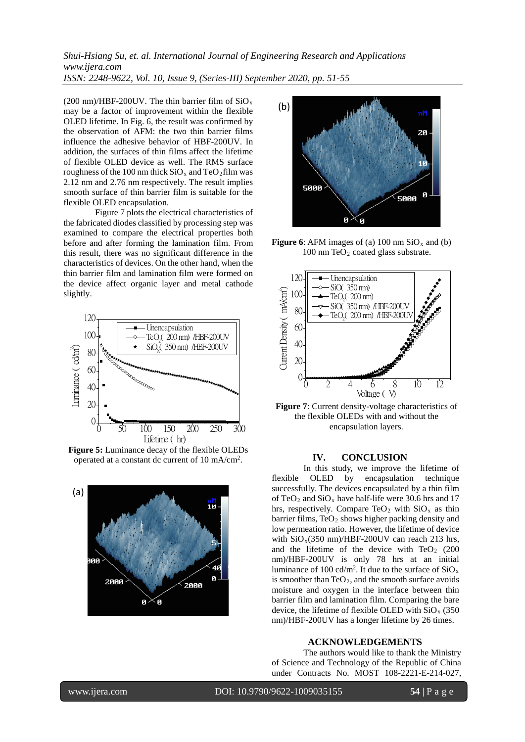*Shui-Hsiang Su, et. al. International Journal of Engineering Research and Applications www.ijera.com ISSN: 2248-9622, Vol. 10, Issue 9, (Series-III) September 2020, pp. 51-55*

(200 nm)/HBF-200UV. The thin barrier film of  $SiO<sub>x</sub>$ may be a factor of improvement within the flexible OLED lifetime. In Fig. 6, the result was confirmed by the observation of AFM: the two thin barrier films influence the adhesive behavior of HBF-200UV. In addition, the surfaces of thin films affect the lifetime of flexible OLED device as well. The RMS surface roughness of the 100 nm thick  $SiO_x$  and TeO<sub>2</sub>film was 2.12 nm and 2.76 nm respectively. The result implies smooth surface of thin barrier film is suitable for the flexible OLED encapsulation.

Figure 7 plots the electrical characteristics of the fabricated diodes classified by processing step was examined to compare the electrical properties both before and after forming the lamination film. From this result, there was no significant difference in the characteristics of devices. On the other hand, when the thin barrier film and lamination film were formed on the device affect organic layer and metal cathode slightly.



**Figure 5:** Luminance decay of the flexible OLEDs operated at a constant dc current of 10 mA/cm<sup>2</sup>.





**Figure 6**: AFM images of (a) 100 nm  $SiO_x$  and (b) 100 nm TeO<sub>2</sub> coated glass substrate.



**Figure 7**: Current density-voltage characteristics of the flexible OLEDs with and without the encapsulation layers.

#### **IV. CONCLUSION**

In this study, we improve the lifetime of flexible OLED by encapsulation technique successfully. The devices encapsulated by a thin film of TeO<sub>2</sub> and  $SiO_x$  have half-life were 30.6 hrs and 17 hrs, respectively. Compare TeO<sub>2</sub> with  $SiO<sub>x</sub>$  as thin barrier films,  $TeO<sub>2</sub>$  shows higher packing density and low permeation ratio. However, the lifetime of device with  $SiO_x(350 \text{ nm})/HBF-200UV$  can reach 213 hrs. and the lifetime of the device with  $TeO<sub>2</sub>$  (200) nm)/HBF-200UV is only 78 hrs at an initial luminance of 100 cd/m<sup>2</sup>. It due to the surface of  $SiO_x$ is smoother than TeO<sub>2</sub>, and the smooth surface avoids moisture and oxygen in the interface between thin barrier film and lamination film. Comparing the bare device, the lifetime of flexible OLED with  $SiO<sub>x</sub>$  (350) nm)/HBF-200UV has a longer lifetime by 26 times.

#### **ACKNOWLEDGEMENTS**

The authors would like to thank the Ministry of Science and Technology of the Republic of China under Contracts No. MOST 108-2221-E-214-027,

I

www.ijera.com DOI: 10.9790/9622-1009035155 **54** | Page